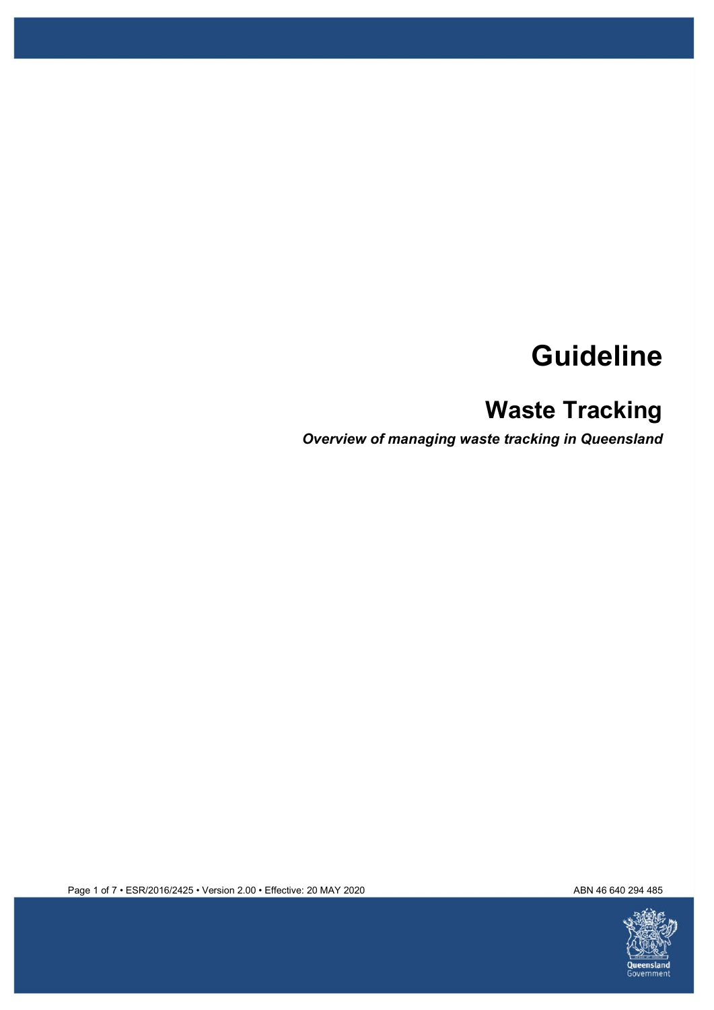# **Guideline**

## **Waste Tracking**

*Overview of managing waste tracking in Queensland* 



Page 1 of 7 • ESR/2016/2425 • Version 2.00 • Effective: 20 MAY 2020 ABN 46640 294 485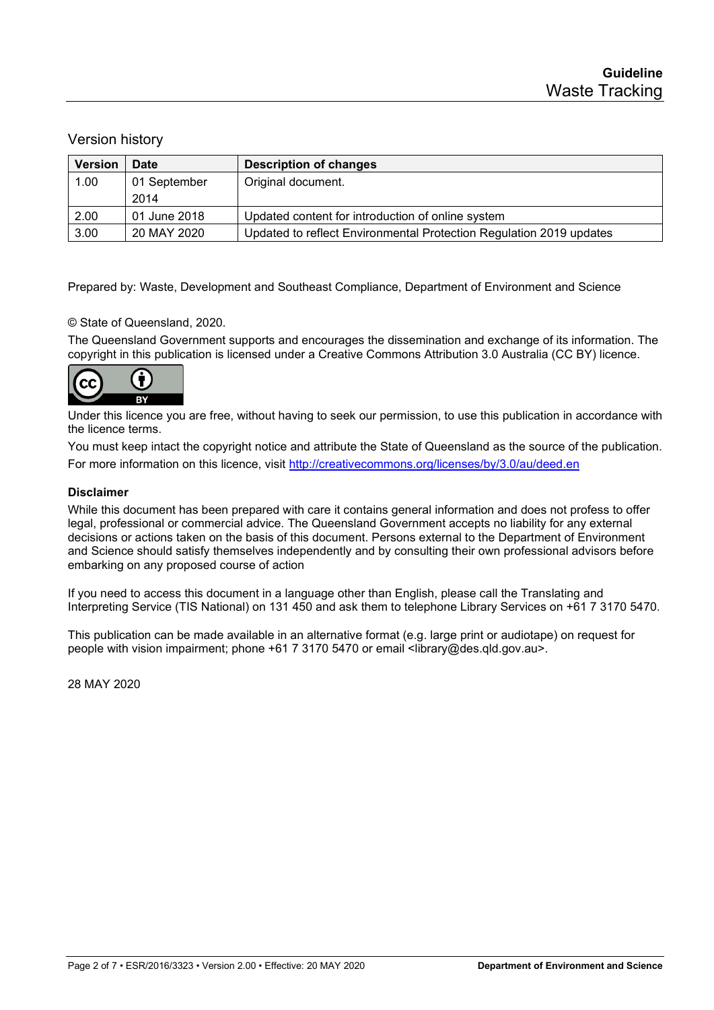#### Version history

| <b>Version</b> | <b>Date</b>  | <b>Description of changes</b>                                       |
|----------------|--------------|---------------------------------------------------------------------|
| 1.00           | 01 September | Original document.                                                  |
|                | 2014         |                                                                     |
| 2.00           | 01 June 2018 | Updated content for introduction of online system                   |
| 3.00           | 20 MAY 2020  | Updated to reflect Environmental Protection Regulation 2019 updates |

Prepared by: Waste, Development and Southeast Compliance, Department of Environment and Science

#### © State of Queensland, 2020.

The Queensland Government supports and encourages the dissemination and exchange of its information. The copyright in this publication is licensed under a Creative Commons Attribution 3.0 Australia (CC BY) licence.



Under this licence you are free, without having to seek our permission, to use this publication in accordance with the licence terms.

You must keep intact the copyright notice and attribute the State of Queensland as the source of the publication. For more information on this licence, visit<http://creativecommons.org/licenses/by/3.0/au/deed.en>

#### **Disclaimer**

While this document has been prepared with care it contains general information and does not profess to offer legal, professional or commercial advice. The Queensland Government accepts no liability for any external decisions or actions taken on the basis of this document. Persons external to the Department of Environment and Science should satisfy themselves independently and by consulting their own professional advisors before embarking on any proposed course of action

If you need to access this document in a language other than English, please call the Translating and Interpreting Service (TIS National) on 131 450 and ask them to telephone Library Services on +61 7 3170 5470.

This publication can be made available in an alternative format (e.g. large print or audiotape) on request for people with vision impairment; phone +61 7 3170 5470 or email <library@des.qld.gov.au>.

28 MAY 2020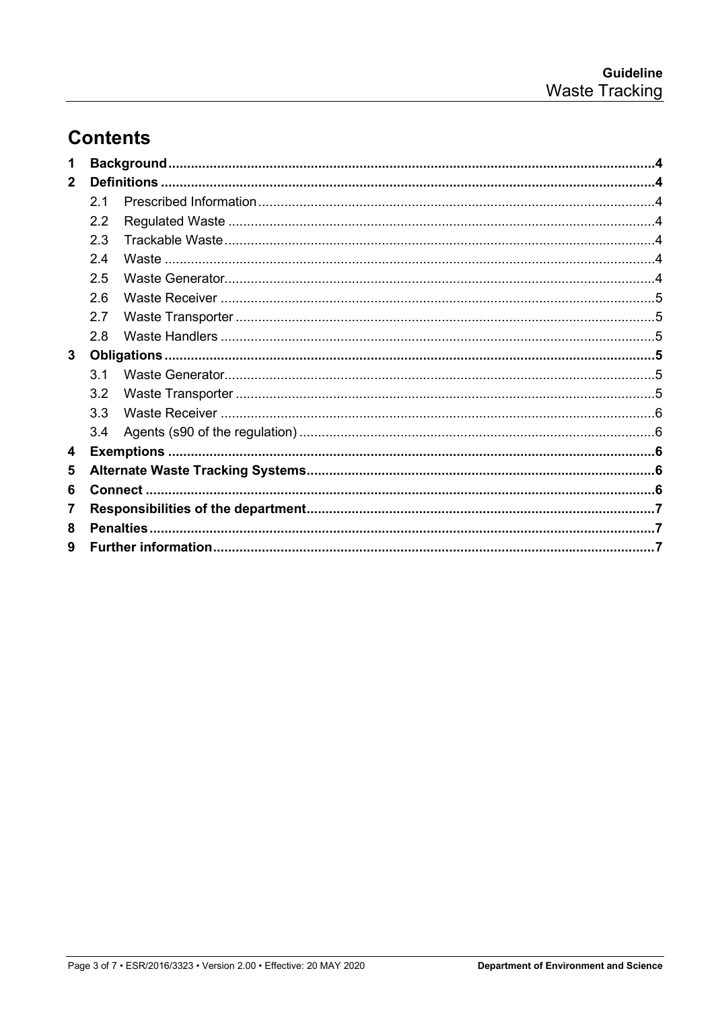### **Contents**

| 1            |                  |  |  |
|--------------|------------------|--|--|
| $\mathbf{2}$ |                  |  |  |
|              | 2.1              |  |  |
|              | 2.2              |  |  |
|              | 2.3              |  |  |
|              | 24               |  |  |
|              | 2.5              |  |  |
|              | 2.6              |  |  |
|              | 2.7              |  |  |
|              | 2.8              |  |  |
| 3            |                  |  |  |
|              | $\overline{3}$ 1 |  |  |
|              | 3.2              |  |  |
|              | 3.3              |  |  |
|              | 3.4              |  |  |
| 4            |                  |  |  |
| 5            |                  |  |  |
| 6            |                  |  |  |
| 7            |                  |  |  |
| 8            |                  |  |  |
| 9            |                  |  |  |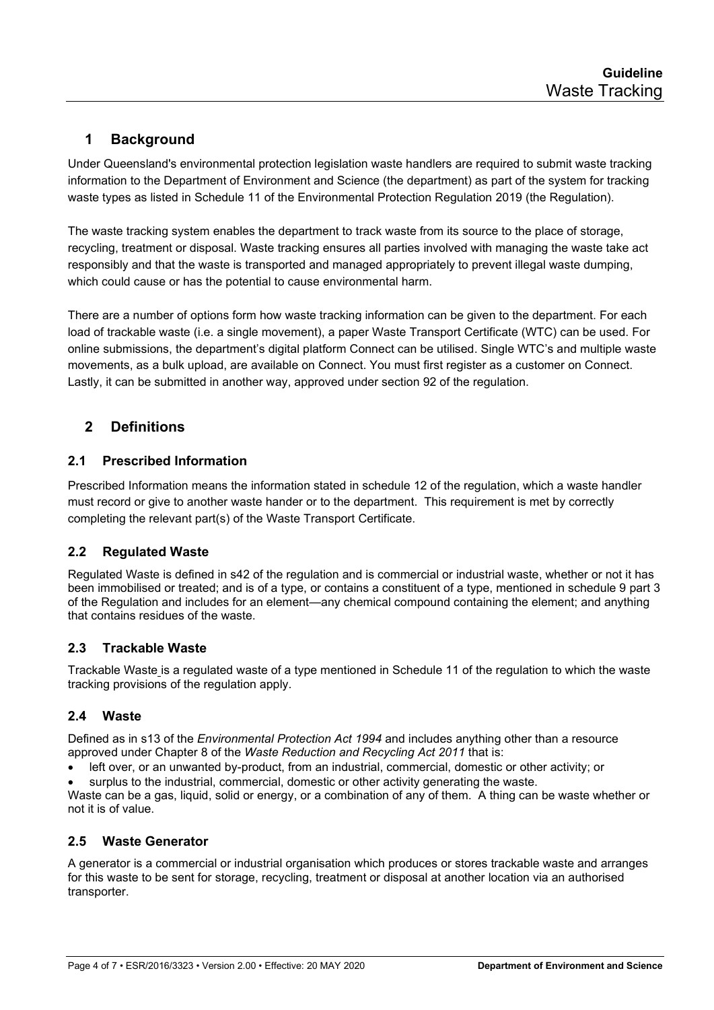### <span id="page-3-0"></span>**1 Background**

Under Queensland's environmental protection legislation waste handlers are required to submit waste tracking information to the Department of Environment and Science (the department) as part of the system for tracking waste types as listed in Schedule 11 of the Environmental Protection Regulation 2019 (the Regulation).

The waste tracking system enables the department to track waste from its source to the place of storage, recycling, treatment or disposal. Waste tracking ensures all parties involved with managing the waste take act responsibly and that the waste is transported and managed appropriately to prevent illegal waste dumping, which could cause or has the potential to cause environmental harm.

There are a number of options form how waste tracking information can be given to the department. For each load of trackable waste (i.e. a single movement), a paper Waste Transport Certificate (WTC) can be used. For online submissions, the department's digital platform Connect can be utilised. Single WTC's and multiple waste movements, as a bulk upload, are available on Connect. You must first register as a customer on Connect. Lastly, it can be submitted in another way, approved under section 92 of the regulation.

#### <span id="page-3-1"></span>**2 Definitions**

#### <span id="page-3-2"></span>**2.1 Prescribed Information**

Prescribed Information means the information stated in schedule 12 of the regulation, which a waste handler must record or give to another waste hander or to the department. This requirement is met by correctly completing the relevant part(s) of the Waste Transport Certificate.

#### <span id="page-3-3"></span>**2.2 Regulated Waste**

Regulated Waste is defined in s42 of the regulation and is commercial or industrial waste, whether or not it has been immobilised or treated; and is of a type, or contains a constituent of a type, mentioned in schedule 9 part 3 of the Regulation and includes for an element—any chemical compound containing the element; and anything that contains residues of the waste.

#### <span id="page-3-4"></span>**2.3 Trackable Waste**

Trackable Waste is a regulated waste of a type mentioned in Schedule 11 of the regulation to which the waste tracking provisions of the regulation apply.

#### <span id="page-3-5"></span>**2.4 Waste**

Defined as in s13 of the *Environmental Protection Act 1994* and includes anything other than a resource approved under Chapter 8 of the *Waste Reduction and Recycling Act 2011* that is:

- left over, or an unwanted by-product, from an industrial, commercial, domestic or other activity; or
- surplus to the industrial, commercial, domestic or other activity generating the waste.

Waste can be a gas, liquid, solid or energy, or a combination of any of them. A thing can be waste whether or not it is of value.

#### <span id="page-3-6"></span>**2.5 Waste Generator**

A generator is a commercial or industrial organisation which produces or stores trackable waste and arranges for this waste to be sent for storage, recycling, treatment or disposal at another location via an authorised transporter.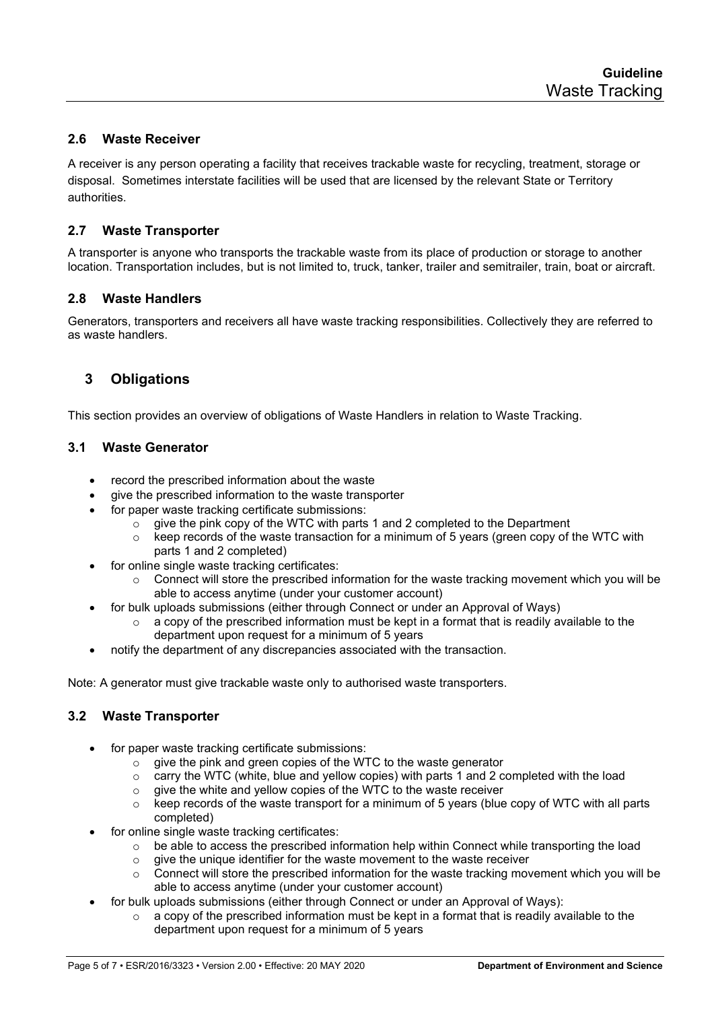#### <span id="page-4-0"></span>**2.6 Waste Receiver**

A receiver is any person operating a facility that receives trackable waste for recycling, treatment, storage or disposal. Sometimes interstate facilities will be used that are licensed by the relevant State or Territory authorities.

#### <span id="page-4-1"></span>**2.7 Waste Transporter**

A transporter is anyone who transports the trackable waste from its place of production or storage to another location. Transportation includes, but is not limited to, truck, tanker, trailer and semitrailer, train, boat or aircraft.

#### <span id="page-4-2"></span>**2.8 Waste Handlers**

<span id="page-4-3"></span>Generators, transporters and receivers all have waste tracking responsibilities. Collectively they are referred to as waste handlers.

#### **3 Obligations**

<span id="page-4-4"></span>This section provides an overview of obligations of Waste Handlers in relation to Waste Tracking.

#### **3.1 Waste Generator**

- record the prescribed information about the waste
- qive the prescribed information to the waste transporter
- for paper waste tracking certificate submissions:
	- $\circ$  give the pink copy of the WTC with parts 1 and 2 completed to the Department
	- $\circ$  keep records of the waste transaction for a minimum of 5 years (green copy of the WTC with parts 1 and 2 completed)
- for online single waste tracking certificates:
	- $\circ$  Connect will store the prescribed information for the waste tracking movement which you will be able to access anytime (under your customer account)
	- for bulk uploads submissions (either through Connect or under an Approval of Ways)
		- $\circ$  a copy of the prescribed information must be kept in a format that is readily available to the department upon request for a minimum of 5 years
- notify the department of any discrepancies associated with the transaction.

Note: A generator must give trackable waste only to authorised waste transporters.

#### <span id="page-4-5"></span>**3.2 Waste Transporter**

- for paper waste tracking certificate submissions:
	- $\circ$  give the pink and green copies of the WTC to the waste generator
	- $\circ$  carry the WTC (white, blue and yellow copies) with parts 1 and 2 completed with the load
	- $\circ$  give the white and yellow copies of the WTC to the waste receiver  $\circ$  keep records of the waste transport for a minimum of 5 years (blue
	- keep records of the waste transport for a minimum of 5 years (blue copy of WTC with all parts completed)
- for online single waste tracking certificates:
	- o be able to access the prescribed information help within Connect while transporting the load
	- o give the unique identifier for the waste movement to the waste receiver
	- $\circ$  Connect will store the prescribed information for the waste tracking movement which you will be able to access anytime (under your customer account)
	- for bulk uploads submissions (either through Connect or under an Approval of Ways):
		- $\circ$  a copy of the prescribed information must be kept in a format that is readily available to the department upon request for a minimum of 5 years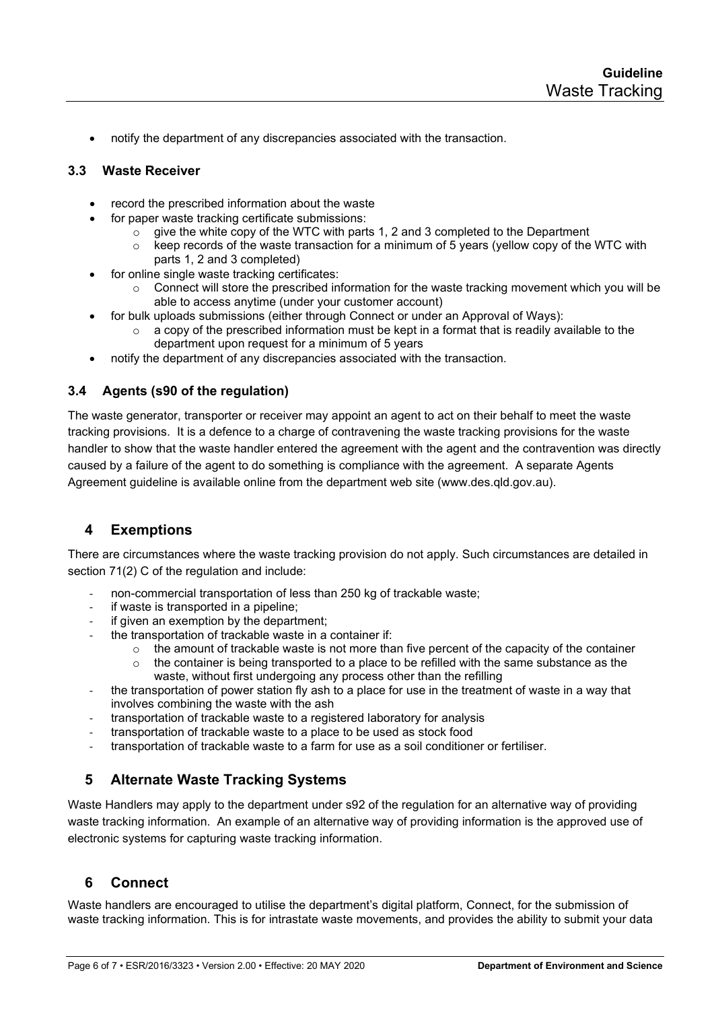• notify the department of any discrepancies associated with the transaction.

#### <span id="page-5-0"></span>**3.3 Waste Receiver**

- record the prescribed information about the waste
- for paper waste tracking certificate submissions:
	- $\circ$  give the white copy of the WTC with parts 1, 2 and 3 completed to the Department
	- $\circ$  keep records of the waste transaction for a minimum of 5 years (yellow copy of the WTC with parts 1, 2 and 3 completed)
- for online single waste tracking certificates:
	- $\circ$  Connect will store the prescribed information for the waste tracking movement which you will be able to access anytime (under your customer account)
- for bulk uploads submissions (either through Connect or under an Approval of Ways):
	- a copy of the prescribed information must be kept in a format that is readily available to the department upon request for a minimum of 5 years
- notify the department of any discrepancies associated with the transaction.

#### <span id="page-5-1"></span>**3.4 Agents (s90 of the regulation)**

The waste generator, transporter or receiver may appoint an agent to act on their behalf to meet the waste tracking provisions. It is a defence to a charge of contravening the waste tracking provisions for the waste handler to show that the waste handler entered the agreement with the agent and the contravention was directly caused by a failure of the agent to do something is compliance with the agreement. A separate Agents Agreement guideline is available online from the department web site (www.des.qld.gov.au).

#### <span id="page-5-2"></span>**4 Exemptions**

There are circumstances where the waste tracking provision do not apply. Such circumstances are detailed in section 71(2) C of the regulation and include:

- non-commercial transportation of less than 250 kg of trackable waste;
- if waste is transported in a pipeline;
- if given an exemption by the department;
- the transportation of trackable waste in a container if:
	- $\circ$  the amount of trackable waste is not more than five percent of the capacity of the container  $\circ$  the container is being transported to a place to be refilled with the same substance as the
	- the container is being transported to a place to be refilled with the same substance as the waste, without first undergoing any process other than the refilling
- the transportation of power station fly ash to a place for use in the treatment of waste in a way that involves combining the waste with the ash
- transportation of trackable waste to a registered laboratory for analysis
- transportation of trackable waste to a place to be used as stock food
- transportation of trackable waste to a farm for use as a soil conditioner or fertiliser.

#### <span id="page-5-3"></span>**5 Alternate Waste Tracking Systems**

Waste Handlers may apply to the department under s92 of the regulation for an alternative way of providing waste tracking information. An example of an alternative way of providing information is the approved use of electronic systems for capturing waste tracking information.

#### <span id="page-5-4"></span>**6 Connect**

Waste handlers are encouraged to utilise the department's digital platform, Connect, for the submission of waste tracking information. This is for intrastate waste movements, and provides the ability to submit your data